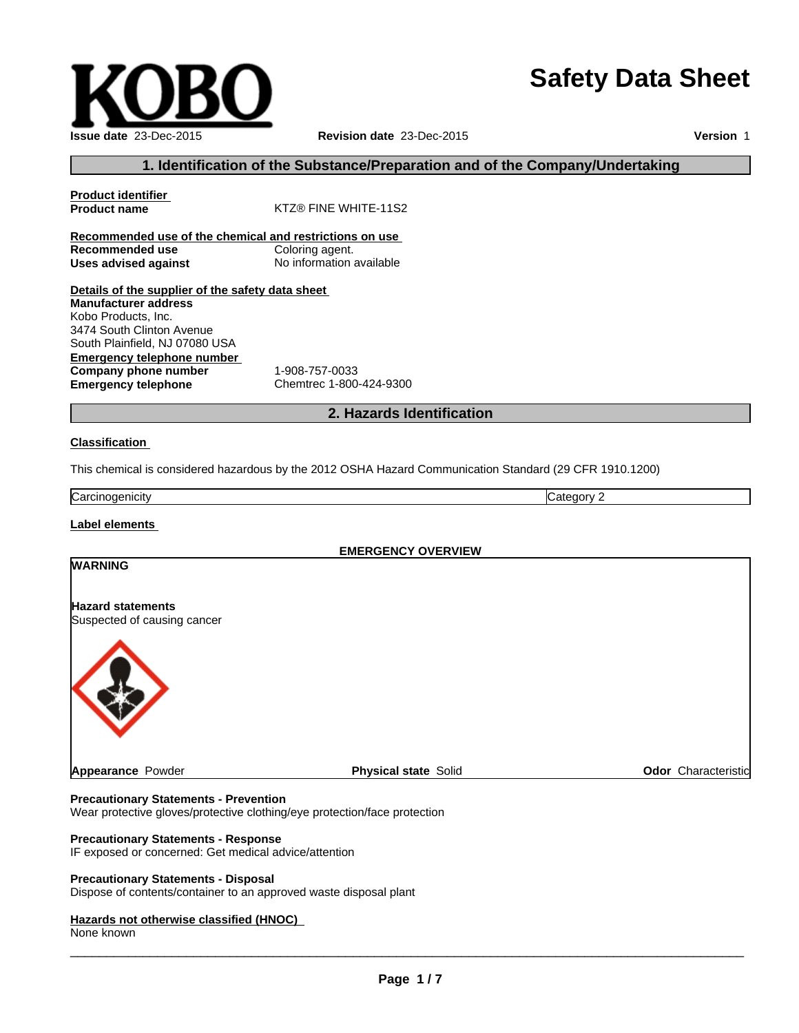# **Safety Data Sheet**

**Version** 1

None known

 $\overline{\phantom{a}}$  ,  $\overline{\phantom{a}}$  ,  $\overline{\phantom{a}}$  ,  $\overline{\phantom{a}}$  ,  $\overline{\phantom{a}}$  ,  $\overline{\phantom{a}}$  ,  $\overline{\phantom{a}}$  ,  $\overline{\phantom{a}}$  ,  $\overline{\phantom{a}}$  ,  $\overline{\phantom{a}}$  ,  $\overline{\phantom{a}}$  ,  $\overline{\phantom{a}}$  ,  $\overline{\phantom{a}}$  ,  $\overline{\phantom{a}}$  ,  $\overline{\phantom{a}}$  ,  $\overline{\phantom{a}}$ 

**Recommended use Uses advised against** No information available **Details of the supplier of the safety data sheet Emergency telephone number Company phone number** 1-908-757-0033<br> **Emergency telephone** Chemtrec 1-800 **Emergency telephone** Chemtrec 1-800-424-9300 **2. Hazards Identification Classification**  Carcinogenicity **Category 2 Manufacturer address** Kobo Products, Inc. 3474 South Clinton Avenue South Plainfield, NJ 07080 USA

This chemical is considered hazardous by the 2012 OSHA Hazard Communication Standard (29 CFR 1910.1200)

**Appearance Powder Physical state Solid Physical state Solid Physical state Solid Physical state Solid Physical** 

**EMERGENCY OVERVIEW**

## **Precautionary Statements - Prevention**

Wear protective gloves/protective clothing/eye protection/face protection

#### **Precautionary Statements - Response**

IF exposed or concerned: Get medical advice/attention

## **Precautionary Statements - Disposal**

Dispose of contents/container to an approved waste disposal plant

## **Hazards not otherwise classified (HNOC)**

**WARNING**

**Hazard statements**

Suspected of causing cancer

**Label elements** 

## **1. Identification of the Substance/Preparation and of the Company/Undertaking**

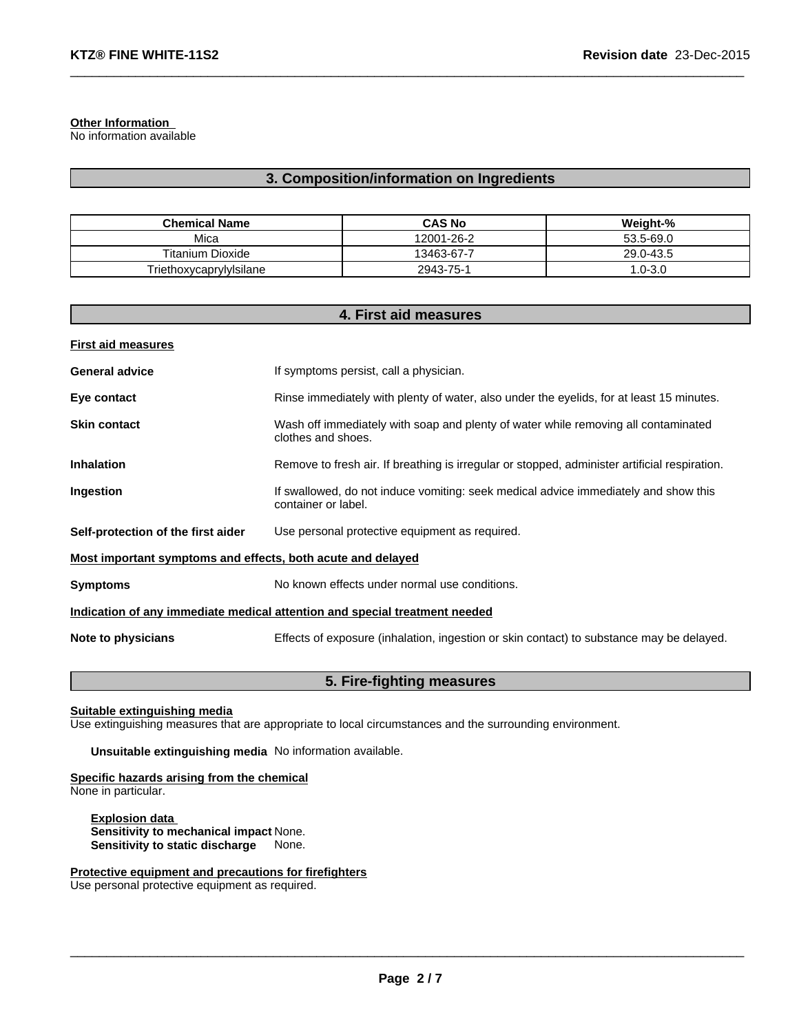#### **Other Information**

No information available

### **3. Composition/information on Ingredients**

 $\_$  ,  $\_$  ,  $\_$  ,  $\_$  ,  $\_$  ,  $\_$  ,  $\_$  ,  $\_$  ,  $\_$  ,  $\_$  ,  $\_$  ,  $\_$  ,  $\_$  ,  $\_$  ,  $\_$  ,  $\_$  ,  $\_$  ,  $\_$  ,  $\_$  ,  $\_$  ,  $\_$  ,  $\_$  ,  $\_$  ,  $\_$  ,  $\_$  ,  $\_$  ,  $\_$  ,  $\_$  ,  $\_$  ,  $\_$  ,  $\_$  ,  $\_$  ,  $\_$  ,  $\_$  ,  $\_$  ,  $\_$  ,  $\_$  ,

| <b>Chemical Name</b>    | <b>CAS No</b> | Weight-%   |
|-------------------------|---------------|------------|
| Mica                    | 12001-26-2    | 53.5-69.0  |
| <b>Titanium Dioxide</b> | 13463-67-7    | 29.0-43.5  |
| Triethoxycaprylylsilane | 2943-75-1     | $.0 - 3.0$ |

#### **4. First aid measures**

| <b>First aid measures</b>                                   |                                                                                                            |
|-------------------------------------------------------------|------------------------------------------------------------------------------------------------------------|
| <b>General advice</b>                                       | If symptoms persist, call a physician.                                                                     |
| Eye contact                                                 | Rinse immediately with plenty of water, also under the eyelids, for at least 15 minutes.                   |
| <b>Skin contact</b>                                         | Wash off immediately with soap and plenty of water while removing all contaminated<br>clothes and shoes.   |
| <b>Inhalation</b>                                           | Remove to fresh air. If breathing is irregular or stopped, administer artificial respiration.              |
| Ingestion                                                   | If swallowed, do not induce vomiting: seek medical advice immediately and show this<br>container or label. |
| Self-protection of the first aider                          | Use personal protective equipment as required.                                                             |
| Most important symptoms and effects, both acute and delayed |                                                                                                            |
| <b>Symptoms</b>                                             | No known effects under normal use conditions.                                                              |
|                                                             | Indication of any immediate medical attention and special treatment needed                                 |
| Note to physicians                                          | Effects of exposure (inhalation, ingestion or skin contact) to substance may be delayed.                   |

#### **5. Fire-fighting measures**

#### **Suitable extinguishing media**

Use extinguishing measures that are appropriate to local circumstances and the surrounding environment.

**Unsuitable extinguishing media** No information available.

#### **Specific hazards arising from the chemical** None in particular.

**Explosion data Sensitivity to mechanical impact** None. **Sensitivity to static discharge** None.

#### **Protective equipment and precautions for firefighters** Use personal protective equipment as required.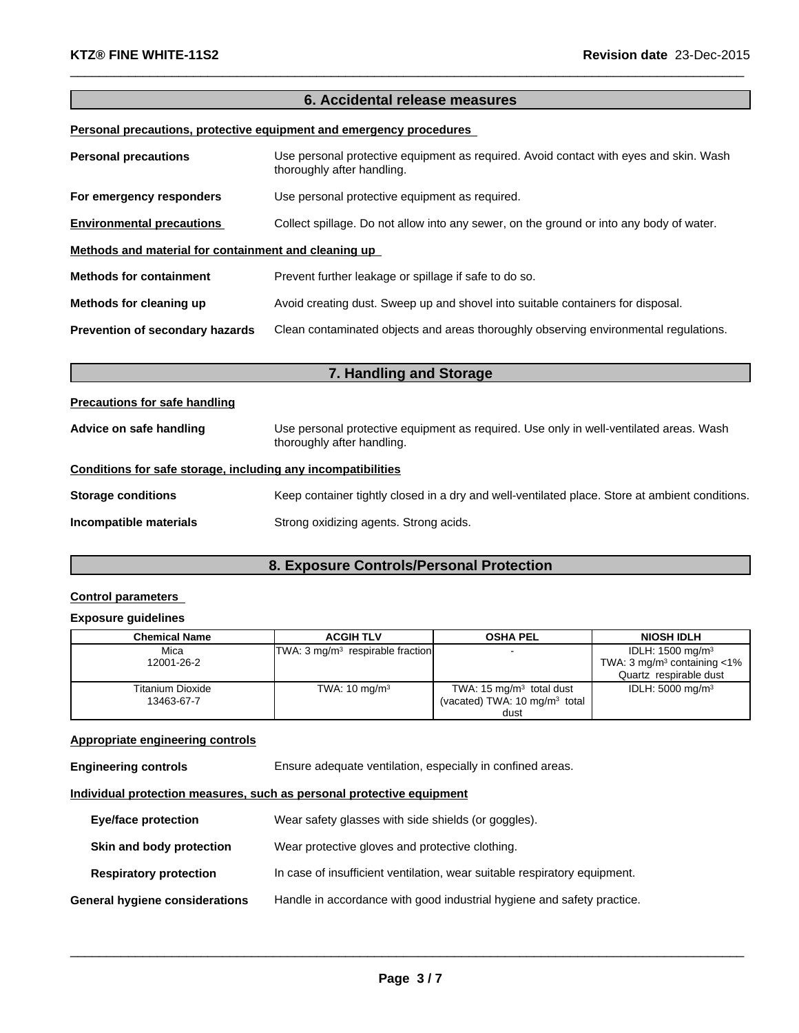#### **6. Accidental release measures**

 $\_$  ,  $\_$  ,  $\_$  ,  $\_$  ,  $\_$  ,  $\_$  ,  $\_$  ,  $\_$  ,  $\_$  ,  $\_$  ,  $\_$  ,  $\_$  ,  $\_$  ,  $\_$  ,  $\_$  ,  $\_$  ,  $\_$  ,  $\_$  ,  $\_$  ,  $\_$  ,  $\_$  ,  $\_$  ,  $\_$  ,  $\_$  ,  $\_$  ,  $\_$  ,  $\_$  ,  $\_$  ,  $\_$  ,  $\_$  ,  $\_$  ,  $\_$  ,  $\_$  ,  $\_$  ,  $\_$  ,  $\_$  ,  $\_$  ,

#### **Personal precautions, protective equipment and emergency procedures**

| <b>Personal precautions</b>                          | Use personal protective equipment as required. Avoid contact with eyes and skin. Wash<br>thoroughly after handling. |
|------------------------------------------------------|---------------------------------------------------------------------------------------------------------------------|
| For emergency responders                             | Use personal protective equipment as required.                                                                      |
| <b>Environmental precautions</b>                     | Collect spillage. Do not allow into any sewer, on the ground or into any body of water.                             |
| Methods and material for containment and cleaning up |                                                                                                                     |
| <b>Methods for containment</b>                       | Prevent further leakage or spillage if safe to do so.                                                               |
| Methods for cleaning up                              | Avoid creating dust. Sweep up and shovel into suitable containers for disposal.                                     |
| Prevention of secondary hazards                      | Clean contaminated objects and areas thoroughly observing environmental regulations.                                |

| 7. Handling and Storage                                      |                                                                                                                      |  |
|--------------------------------------------------------------|----------------------------------------------------------------------------------------------------------------------|--|
| <b>Precautions for safe handling</b>                         |                                                                                                                      |  |
| Advice on safe handling                                      | Use personal protective equipment as required. Use only in well-ventilated areas. Wash<br>thoroughly after handling. |  |
| Conditions for safe storage, including any incompatibilities |                                                                                                                      |  |
| <b>Storage conditions</b>                                    | Keep container tightly closed in a dry and well-ventilated place. Store at ambient conditions.                       |  |
| Incompatible materials                                       | Strong oxidizing agents. Strong acids.                                                                               |  |

## **8. Exposure Controls/Personal Protection**

#### **Control parameters**

#### **Exposure guidelines**

| Chemical Name           | <b>ACGIH TLV</b>                   | <b>OSHA PEL</b>                          | <b>NIOSH IDLH</b>                          |
|-------------------------|------------------------------------|------------------------------------------|--------------------------------------------|
|                         |                                    |                                          |                                            |
| Mica                    | $TWA: 3 mg/m3$ respirable fraction |                                          | IDLH: $1500 \text{ mg/m}^3$                |
| 12001-26-2              |                                    |                                          | TWA: 3 mg/m <sup>3</sup> containing $<$ 1% |
|                         |                                    |                                          | Quartz respirable dust                     |
| <b>Titanium Dioxide</b> | TWA: $10 \text{ mg/m}^3$           | TWA: 15 $mg/m3$ total dust               | IDLH: $5000 \text{ mg/m}^3$                |
| 13463-67-7              |                                    | (vacated) TWA: $10 \text{ mg/m}^3$ total |                                            |
|                         |                                    | dust                                     |                                            |

#### **Appropriate engineering controls**

**Engineering controls** Ensure adequate ventilation, especially in confined areas.

#### **Individual protection measures, such as personal protective equipment**

| <b>Eye/face protection</b>     | Wear safety glasses with side shields (or goggles).                       |
|--------------------------------|---------------------------------------------------------------------------|
| Skin and body protection       | Wear protective gloves and protective clothing.                           |
| <b>Respiratory protection</b>  | In case of insufficient ventilation, wear suitable respiratory equipment. |
| General hygiene considerations | Handle in accordance with good industrial hygiene and safety practice.    |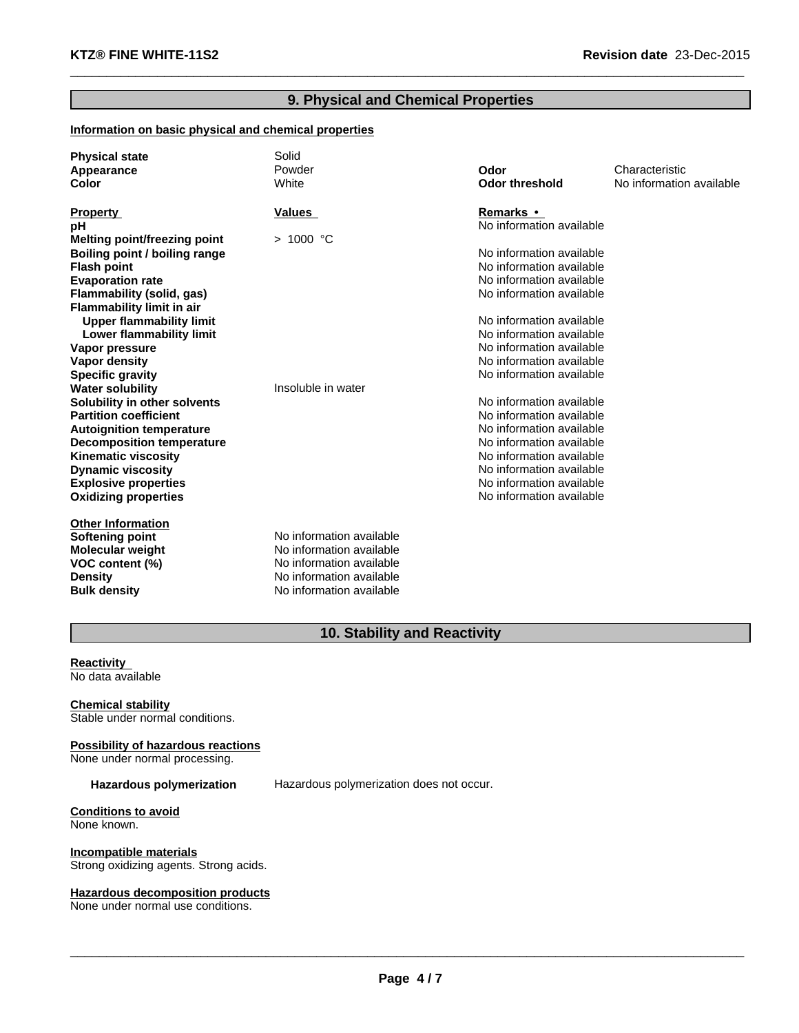#### **9. Physical and Chemical Properties**

 $\_$  ,  $\_$  ,  $\_$  ,  $\_$  ,  $\_$  ,  $\_$  ,  $\_$  ,  $\_$  ,  $\_$  ,  $\_$  ,  $\_$  ,  $\_$  ,  $\_$  ,  $\_$  ,  $\_$  ,  $\_$  ,  $\_$  ,  $\_$  ,  $\_$  ,  $\_$  ,  $\_$  ,  $\_$  ,  $\_$  ,  $\_$  ,  $\_$  ,  $\_$  ,  $\_$  ,  $\_$  ,  $\_$  ,  $\_$  ,  $\_$  ,  $\_$  ,  $\_$  ,  $\_$  ,  $\_$  ,  $\_$  ,  $\_$  ,

#### **Information on basic physical and chemical properties**

| <b>Physical state</b><br>Appearance<br>Color | Solid<br>Powder<br>White | Odor<br><b>Odor threshold</b> | Characteristic<br>No information available |
|----------------------------------------------|--------------------------|-------------------------------|--------------------------------------------|
| <b>Property</b>                              | Values                   | <b>Remarks</b> •              |                                            |
| рH                                           |                          | No information available      |                                            |
| Melting point/freezing point                 | > 1000 °C                |                               |                                            |
| Boiling point / boiling range                |                          | No information available      |                                            |
| <b>Flash point</b>                           |                          | No information available      |                                            |
| <b>Evaporation rate</b>                      |                          | No information available      |                                            |
| Flammability (solid, gas)                    |                          | No information available      |                                            |
| Flammability limit in air                    |                          |                               |                                            |
| <b>Upper flammability limit</b>              |                          | No information available      |                                            |
| Lower flammability limit                     |                          | No information available      |                                            |
| Vapor pressure                               |                          | No information available      |                                            |
| <b>Vapor density</b>                         |                          | No information available      |                                            |
| <b>Specific gravity</b>                      |                          | No information available      |                                            |
| <b>Water solubility</b>                      | Insoluble in water       |                               |                                            |
| Solubility in other solvents                 |                          | No information available      |                                            |
| <b>Partition coefficient</b>                 |                          | No information available      |                                            |
| <b>Autoignition temperature</b>              |                          | No information available      |                                            |
| <b>Decomposition temperature</b>             |                          | No information available      |                                            |
| <b>Kinematic viscosity</b>                   |                          | No information available      |                                            |
| <b>Dynamic viscosity</b>                     |                          | No information available      |                                            |
| <b>Explosive properties</b>                  |                          | No information available      |                                            |
| <b>Oxidizing properties</b>                  |                          | No information available      |                                            |
| <b>Other Information</b>                     |                          |                               |                                            |
| <b>Softening point</b>                       | No information available |                               |                                            |
| <b>Molecular weight</b>                      | No information available |                               |                                            |
| VOC content (%)                              | No information available |                               |                                            |
| <b>Density</b>                               | No information available |                               |                                            |
| <b>Bulk density</b>                          | No information available |                               |                                            |

## **10. Stability and Reactivity**

**Reactivity**  No data available

**Chemical stability** Stable under normal conditions.

**Possibility of hazardous reactions** None under normal processing.

**Hazardous polymerization** Hazardous polymerization does not occur.

**Conditions to avoid** None known.

**Incompatible materials** Strong oxidizing agents. Strong acids.

#### **Hazardous decomposition products**

None under normal use conditions.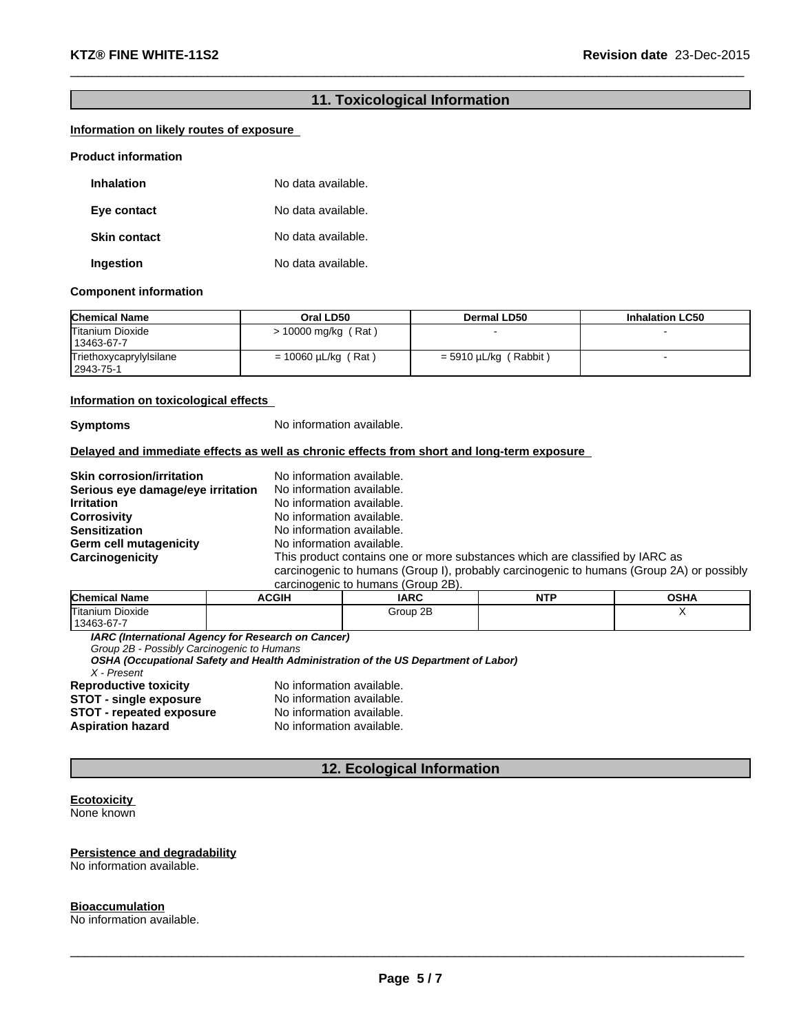#### **11. Toxicological Information**

 $\_$  ,  $\_$  ,  $\_$  ,  $\_$  ,  $\_$  ,  $\_$  ,  $\_$  ,  $\_$  ,  $\_$  ,  $\_$  ,  $\_$  ,  $\_$  ,  $\_$  ,  $\_$  ,  $\_$  ,  $\_$  ,  $\_$  ,  $\_$  ,  $\_$  ,  $\_$  ,  $\_$  ,  $\_$  ,  $\_$  ,  $\_$  ,  $\_$  ,  $\_$  ,  $\_$  ,  $\_$  ,  $\_$  ,  $\_$  ,  $\_$  ,  $\_$  ,  $\_$  ,  $\_$  ,  $\_$  ,  $\_$  ,  $\_$  ,

#### **Information on likely routes of exposure**

#### **Product information**

| <b>Inhalation</b>   | No data available. |
|---------------------|--------------------|
| Eye contact         | No data available. |
| <b>Skin contact</b> | No data available. |
| Ingestion           | No data available. |

#### **Component information**

| <b>Chemical Name</b>                   | Oral LD50                | Dermal LD50                  | <b>Inhalation LC50</b> |
|----------------------------------------|--------------------------|------------------------------|------------------------|
| Titanium Dioxide<br>13463-67-7         | $> 10000$ mg/kg (Rat)    |                              |                        |
| Triethoxycaprylylsilane<br>  2943-75-1 | $= 10060 \mu L/kg$ (Rat) | (Rabbit)<br>$=$ 5910 µL/kg ( |                        |

#### **Information on toxicological effects**

**Symptoms** No information available.

#### **Delayed and immediate effects as well as chronic effects from short and long-term exposure**

| <b>Skin corrosion/irritation</b>  | No information available.                                                                |
|-----------------------------------|------------------------------------------------------------------------------------------|
| Serious eye damage/eye irritation | No information available.                                                                |
| <b>Irritation</b>                 | No information available.                                                                |
| <b>Corrosivity</b>                | No information available.                                                                |
| <b>Sensitization</b>              | No information available.                                                                |
| Germ cell mutagenicity            | No information available.                                                                |
| Carcinogenicity                   | This product contains one or more substances which are classified by IARC as             |
|                                   | carcinogenic to humans (Group I), probably carcinogenic to humans (Group 2A) or possibly |
|                                   | carcinogenic to humans (Group 2B).                                                       |

| <b>Chemical Name</b> | <b>ACGIH</b> | <b>IARC</b> | <b>NITD</b><br>N H | <b>OSHA</b> |
|----------------------|--------------|-------------|--------------------|-------------|
| Titanium Dioxide     |              | Group 2B    |                    | . .         |
| 13463-67-7           |              |             |                    |             |

*IARC (International Agency for Research on Cancer)*

*Group 2B - Possibly Carcinogenic to Humans*

*OSHA (Occupational Safety and Health Administration of the US Department of Labor)*

*X - Present*

**STOT - repeated exposure<br>Aspiration hazard** 

**Reproductive toxicity <br>
<b>STOT** - single exposure<br>
No information available. **STOT - single exposure** No information available.<br>**STOT - repeated exposure** No information available. **No information available.** 

#### **12. Ecological Information**

#### **Ecotoxicity**  None known

#### **Persistence and degradability**

No information available.

#### **Bioaccumulation**

No information available.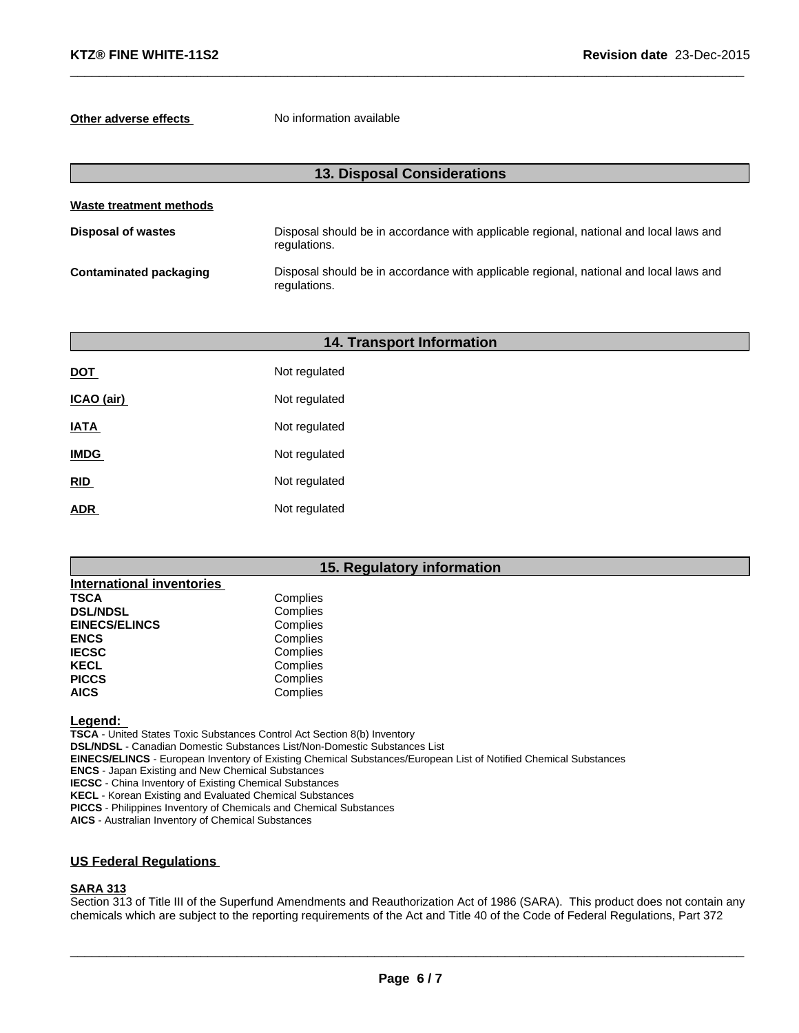#### **Other adverse effects** No information available

| <b>13. Disposal Considerations</b> |                                                                                                        |  |
|------------------------------------|--------------------------------------------------------------------------------------------------------|--|
| Waste treatment methods            |                                                                                                        |  |
| <b>Disposal of wastes</b>          | Disposal should be in accordance with applicable regional, national and local laws and<br>regulations. |  |
| <b>Contaminated packaging</b>      | Disposal should be in accordance with applicable regional, national and local laws and<br>regulations. |  |

 $\_$  ,  $\_$  ,  $\_$  ,  $\_$  ,  $\_$  ,  $\_$  ,  $\_$  ,  $\_$  ,  $\_$  ,  $\_$  ,  $\_$  ,  $\_$  ,  $\_$  ,  $\_$  ,  $\_$  ,  $\_$  ,  $\_$  ,  $\_$  ,  $\_$  ,  $\_$  ,  $\_$  ,  $\_$  ,  $\_$  ,  $\_$  ,  $\_$  ,  $\_$  ,  $\_$  ,  $\_$  ,  $\_$  ,  $\_$  ,  $\_$  ,  $\_$  ,  $\_$  ,  $\_$  ,  $\_$  ,  $\_$  ,  $\_$  ,

|             | <b>14. Transport Information</b> |  |
|-------------|----------------------------------|--|
| <b>DOT</b>  | Not regulated                    |  |
| ICAO (air)  | Not regulated                    |  |
| <b>IATA</b> | Not regulated                    |  |
| <b>IMDG</b> | Not regulated                    |  |
| RID         | Not regulated                    |  |
| <b>ADR</b>  | Not regulated                    |  |

#### **15. Regulatory information**

| <b>International inventories</b> |          |  |
|----------------------------------|----------|--|
| TSCA                             | Complies |  |
| <b>DSL/NDSL</b>                  | Complies |  |
| <b>EINECS/ELINCS</b>             | Complies |  |
| <b>ENCS</b>                      | Complies |  |
| <b>IECSC</b>                     | Complies |  |
| KECL                             | Complies |  |
| <b>PICCS</b>                     | Complies |  |
| AICS                             | Complies |  |

#### **Legend:**

**TSCA** - United States Toxic Substances Control Act Section 8(b) Inventory **DSL/NDSL** - Canadian Domestic Substances List/Non-Domestic Substances List **EINECS/ELINCS** - European Inventory of Existing Chemical Substances/European List of Notified Chemical Substances **ENCS** - Japan Existing and New Chemical Substances

**IECSC** - China Inventory of Existing Chemical Substances

**KECL** - Korean Existing and Evaluated Chemical Substances

**PICCS** - Philippines Inventory of Chemicals and Chemical Substances

**AICS** - Australian Inventory of Chemical Substances

#### **US Federal Regulations**

#### **SARA 313**

Section 313 of Title III of the Superfund Amendments and Reauthorization Act of 1986 (SARA). This product does not contain any chemicals which are subject to the reporting requirements of the Act and Title 40 of the Code of Federal Regulations, Part 372